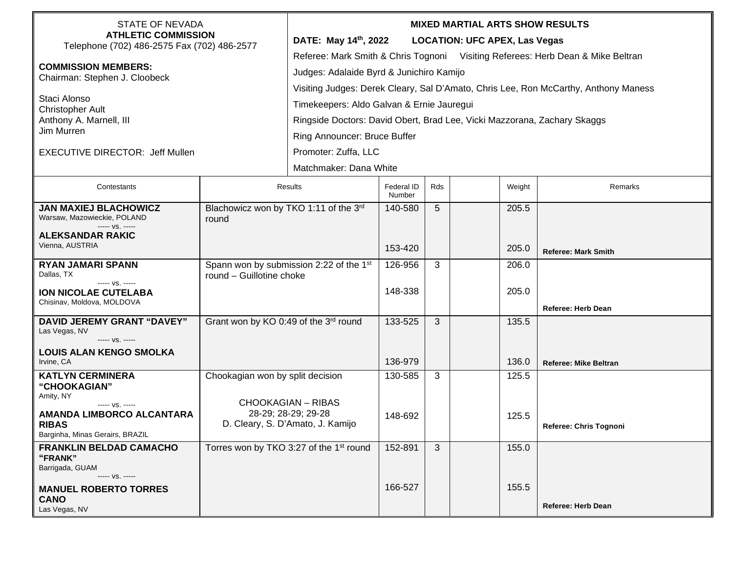| <b>STATE OF NEVADA</b><br><b>ATHLETIC COMMISSION</b><br>Telephone (702) 486-2575 Fax (702) 486-2577<br><b>COMMISSION MEMBERS:</b><br>Chairman: Stephen J. Cloobeck<br>Staci Alonso<br><b>Christopher Ault</b><br>Anthony A. Marnell, III<br>Jim Murren<br><b>EXECUTIVE DIRECTOR: Jeff Mullen</b> |                                                                                                                          | <b>MIXED MARTIAL ARTS SHOW RESULTS</b><br>DATE: May 14 <sup>th</sup> , 2022<br><b>LOCATION: UFC APEX, Las Vegas</b><br>Referee: Mark Smith & Chris Tognoni Visiting Referees: Herb Dean & Mike Beltran<br>Judges: Adalaide Byrd & Junichiro Kamijo<br>Visiting Judges: Derek Cleary, Sal D'Amato, Chris Lee, Ron McCarthy, Anthony Maness<br>Timekeepers: Aldo Galvan & Ernie Jauregui<br>Ringside Doctors: David Obert, Brad Lee, Vicki Mazzorana, Zachary Skaggs<br><b>Ring Announcer: Bruce Buffer</b><br>Promoter: Zuffa, LLC<br>Matchmaker: Dana White |                      |                |  |                |                              |  |
|--------------------------------------------------------------------------------------------------------------------------------------------------------------------------------------------------------------------------------------------------------------------------------------------------|--------------------------------------------------------------------------------------------------------------------------|-------------------------------------------------------------------------------------------------------------------------------------------------------------------------------------------------------------------------------------------------------------------------------------------------------------------------------------------------------------------------------------------------------------------------------------------------------------------------------------------------------------------------------------------------------------|----------------------|----------------|--|----------------|------------------------------|--|
| Contestants                                                                                                                                                                                                                                                                                      | <b>Results</b>                                                                                                           |                                                                                                                                                                                                                                                                                                                                                                                                                                                                                                                                                             | Federal ID<br>Number | Rds            |  | Weight         | Remarks                      |  |
| <b>JAN MAXIEJ BLACHOWICZ</b><br>Warsaw, Mazowieckie, POLAND<br>----- VS. -----<br><b>ALEKSANDAR RAKIC</b><br>Vienna, AUSTRIA                                                                                                                                                                     | Blachowicz won by TKO 1:11 of the 3rd<br>round                                                                           |                                                                                                                                                                                                                                                                                                                                                                                                                                                                                                                                                             | 140-580<br>153-420   | 5              |  | 205.5<br>205.0 | <b>Referee: Mark Smith</b>   |  |
| <b>RYAN JAMARI SPANN</b><br>Dallas, TX<br>----- VS. -----<br><b>ION NICOLAE CUTELABA</b><br>Chisinav, Moldova, MOLDOVA                                                                                                                                                                           | Spann won by submission 2:22 of the 1st<br>round - Guillotine choke                                                      |                                                                                                                                                                                                                                                                                                                                                                                                                                                                                                                                                             | 126-956<br>148-338   | 3              |  | 206.0<br>205.0 | Referee: Herb Dean           |  |
| <b>DAVID JEREMY GRANT "DAVEY"</b><br>Las Vegas, NV<br>----- VS. -----<br><b>LOUIS ALAN KENGO SMOLKA</b><br>Irvine, CA                                                                                                                                                                            | Grant won by KO 0:49 of the 3rd round                                                                                    |                                                                                                                                                                                                                                                                                                                                                                                                                                                                                                                                                             | 133-525<br>136-979   | $\mathfrak{B}$ |  | 135.5<br>136.0 | <b>Referee: Mike Beltran</b> |  |
| <b>KATLYN CERMINERA</b><br>"CHOOKAGIAN"<br>Amity, NY<br>----- VS. -----<br>AMANDA LIMBORCO ALCANTARA<br><b>RIBAS</b><br>Barginha, Minas Gerairs, BRAZIL                                                                                                                                          | Chookagian won by split decision<br><b>CHOOKAGIAN - RIBAS</b><br>28-29; 28-29; 29-28<br>D. Cleary, S. D'Amato, J. Kamijo |                                                                                                                                                                                                                                                                                                                                                                                                                                                                                                                                                             | 130-585<br>148-692   | 3              |  | 125.5<br>125.5 | Referee: Chris Tognoni       |  |
| <b>FRANKLIN BELDAD CAMACHO</b><br>"FRANK"<br>Barrigada, GUAM<br>----- VS. -----<br><b>MANUEL ROBERTO TORRES</b><br><b>CANO</b><br>Las Vegas, NV                                                                                                                                                  | Torres won by TKO 3:27 of the 1 <sup>st</sup> round                                                                      |                                                                                                                                                                                                                                                                                                                                                                                                                                                                                                                                                             | 152-891<br>166-527   | 3              |  | 155.0<br>155.5 | Referee: Herb Dean           |  |